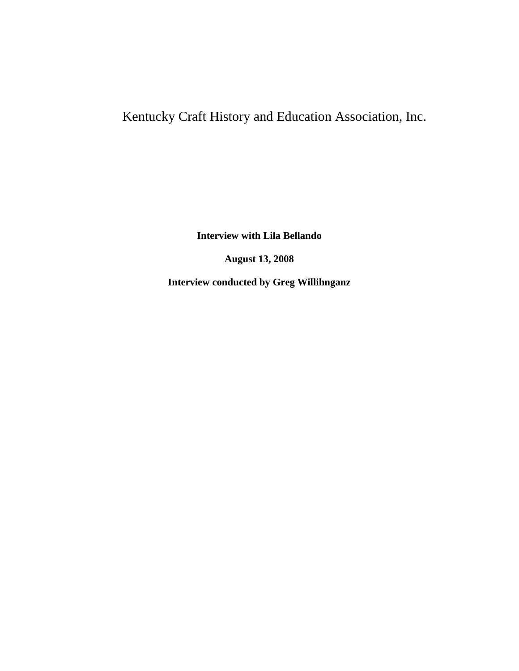## Kentucky Craft History and Education Association, Inc.

**Interview with Lila Bellando**

**August 13, 2008**

**Interview conducted by Greg Willihnganz**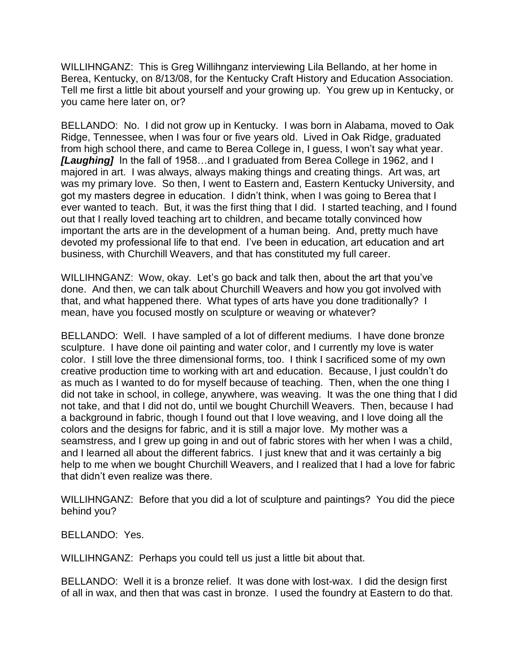WILLIHNGANZ: This is Greg Willihnganz interviewing Lila Bellando, at her home in Berea, Kentucky, on 8/13/08, for the Kentucky Craft History and Education Association. Tell me first a little bit about yourself and your growing up. You grew up in Kentucky, or you came here later on, or?

BELLANDO: No. I did not grow up in Kentucky. I was born in Alabama, moved to Oak Ridge, Tennessee, when I was four or five years old. Lived in Oak Ridge, graduated from high school there, and came to Berea College in, I guess, I won't say what year. *[Laughing]* In the fall of 1958…and I graduated from Berea College in 1962, and I majored in art. I was always, always making things and creating things. Art was, art was my primary love. So then, I went to Eastern and, Eastern Kentucky University, and got my masters degree in education. I didn't think, when I was going to Berea that I ever wanted to teach. But, it was the first thing that I did. I started teaching, and I found out that I really loved teaching art to children, and became totally convinced how important the arts are in the development of a human being. And, pretty much have devoted my professional life to that end. I've been in education, art education and art business, with Churchill Weavers, and that has constituted my full career.

WILLIHNGANZ: Wow, okay. Let's go back and talk then, about the art that you've done. And then, we can talk about Churchill Weavers and how you got involved with that, and what happened there. What types of arts have you done traditionally? I mean, have you focused mostly on sculpture or weaving or whatever?

BELLANDO: Well. I have sampled of a lot of different mediums. I have done bronze sculpture. I have done oil painting and water color, and I currently my love is water color. I still love the three dimensional forms, too. I think I sacrificed some of my own creative production time to working with art and education. Because, I just couldn't do as much as I wanted to do for myself because of teaching. Then, when the one thing I did not take in school, in college, anywhere, was weaving. It was the one thing that I did not take, and that I did not do, until we bought Churchill Weavers. Then, because I had a background in fabric, though I found out that I love weaving, and I love doing all the colors and the designs for fabric, and it is still a major love. My mother was a seamstress, and I grew up going in and out of fabric stores with her when I was a child, and I learned all about the different fabrics. I just knew that and it was certainly a big help to me when we bought Churchill Weavers, and I realized that I had a love for fabric that didn't even realize was there.

WILLIHNGANZ: Before that you did a lot of sculpture and paintings? You did the piece behind you?

BELLANDO: Yes.

WILLIHNGANZ: Perhaps you could tell us just a little bit about that.

BELLANDO: Well it is a bronze relief. It was done with lost-wax. I did the design first of all in wax, and then that was cast in bronze. I used the foundry at Eastern to do that.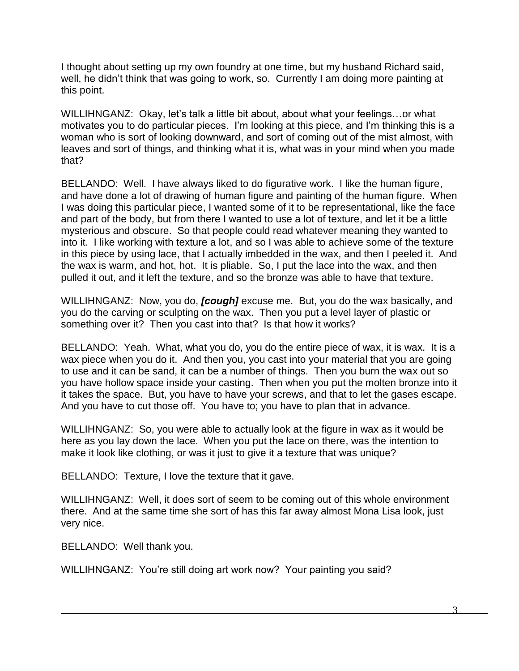I thought about setting up my own foundry at one time, but my husband Richard said, well, he didn't think that was going to work, so. Currently I am doing more painting at this point.

WILLIHNGANZ: Okay, let's talk a little bit about, about what your feelings...or what motivates you to do particular pieces. I'm looking at this piece, and I'm thinking this is a woman who is sort of looking downward, and sort of coming out of the mist almost, with leaves and sort of things, and thinking what it is, what was in your mind when you made that?

BELLANDO: Well. I have always liked to do figurative work. I like the human figure, and have done a lot of drawing of human figure and painting of the human figure. When I was doing this particular piece, I wanted some of it to be representational, like the face and part of the body, but from there I wanted to use a lot of texture, and let it be a little mysterious and obscure. So that people could read whatever meaning they wanted to into it. I like working with texture a lot, and so I was able to achieve some of the texture in this piece by using lace, that I actually imbedded in the wax, and then I peeled it. And the wax is warm, and hot, hot. It is pliable. So, I put the lace into the wax, and then pulled it out, and it left the texture, and so the bronze was able to have that texture.

WILLIHNGANZ: Now, you do, *[cough]* excuse me. But, you do the wax basically, and you do the carving or sculpting on the wax. Then you put a level layer of plastic or something over it? Then you cast into that? Is that how it works?

BELLANDO: Yeah. What, what you do, you do the entire piece of wax, it is wax. It is a wax piece when you do it. And then you, you cast into your material that you are going to use and it can be sand, it can be a number of things. Then you burn the wax out so you have hollow space inside your casting. Then when you put the molten bronze into it it takes the space. But, you have to have your screws, and that to let the gases escape. And you have to cut those off. You have to; you have to plan that in advance.

WILLIHNGANZ: So, you were able to actually look at the figure in wax as it would be here as you lay down the lace. When you put the lace on there, was the intention to make it look like clothing, or was it just to give it a texture that was unique?

BELLANDO: Texture, I love the texture that it gave.

WILLIHNGANZ: Well, it does sort of seem to be coming out of this whole environment there. And at the same time she sort of has this far away almost Mona Lisa look, just very nice.

BELLANDO: Well thank you.

WILLIHNGANZ: You're still doing art work now? Your painting you said?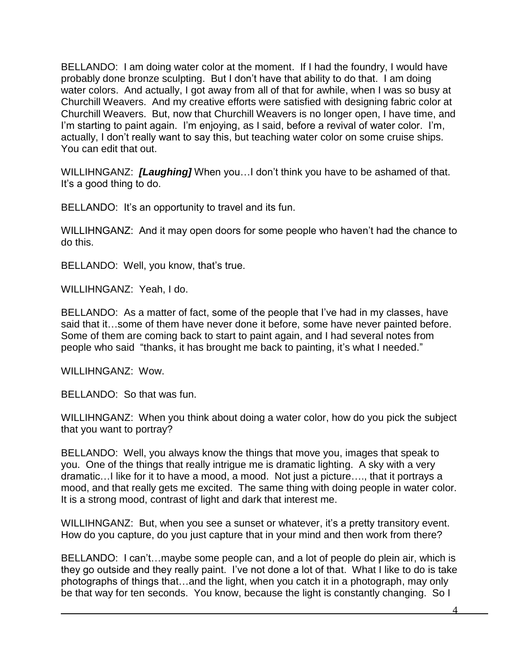BELLANDO: I am doing water color at the moment. If I had the foundry, I would have probably done bronze sculpting. But I don't have that ability to do that. I am doing water colors. And actually, I got away from all of that for awhile, when I was so busy at Churchill Weavers. And my creative efforts were satisfied with designing fabric color at Churchill Weavers. But, now that Churchill Weavers is no longer open, I have time, and I'm starting to paint again. I'm enjoying, as I said, before a revival of water color. I'm, actually, I don't really want to say this, but teaching water color on some cruise ships. You can edit that out.

WILLIHNGANZ: *[Laughing]* When you…I don't think you have to be ashamed of that. It's a good thing to do.

BELLANDO: It's an opportunity to travel and its fun.

WILLIHNGANZ: And it may open doors for some people who haven't had the chance to do this.

BELLANDO: Well, you know, that's true.

WILLIHNGANZ: Yeah, I do.

BELLANDO: As a matter of fact, some of the people that I've had in my classes, have said that it…some of them have never done it before, some have never painted before. Some of them are coming back to start to paint again, and I had several notes from people who said "thanks, it has brought me back to painting, it's what I needed."

WILLIHNGANZ: Wow.

BELLANDO: So that was fun.

WILLIHNGANZ: When you think about doing a water color, how do you pick the subject that you want to portray?

BELLANDO: Well, you always know the things that move you, images that speak to you. One of the things that really intrigue me is dramatic lighting. A sky with a very dramatic…I like for it to have a mood, a mood. Not just a picture…., that it portrays a mood, and that really gets me excited. The same thing with doing people in water color. It is a strong mood, contrast of light and dark that interest me.

WILLIHNGANZ: But, when you see a sunset or whatever, it's a pretty transitory event. How do you capture, do you just capture that in your mind and then work from there?

BELLANDO: I can't…maybe some people can, and a lot of people do plein air, which is they go outside and they really paint. I've not done a lot of that. What I like to do is take photographs of things that…and the light, when you catch it in a photograph, may only be that way for ten seconds. You know, because the light is constantly changing. So I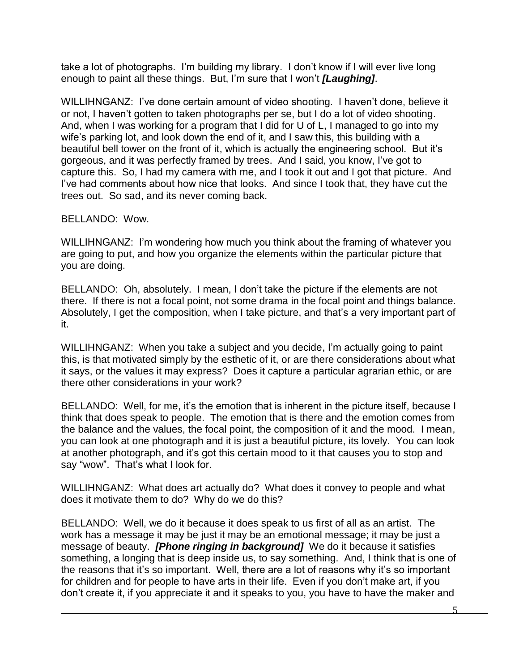take a lot of photographs. I'm building my library. I don't know if I will ever live long enough to paint all these things. But, I'm sure that I won't *[Laughing]*.

WILLIHNGANZ: I've done certain amount of video shooting. I haven't done, believe it or not, I haven't gotten to taken photographs per se, but I do a lot of video shooting. And, when I was working for a program that I did for U of L, I managed to go into my wife's parking lot, and look down the end of it, and I saw this, this building with a beautiful bell tower on the front of it, which is actually the engineering school. But it's gorgeous, and it was perfectly framed by trees. And I said, you know, I've got to capture this. So, I had my camera with me, and I took it out and I got that picture. And I've had comments about how nice that looks. And since I took that, they have cut the trees out. So sad, and its never coming back.

BELLANDO: Wow.

WILLIHNGANZ: I'm wondering how much you think about the framing of whatever you are going to put, and how you organize the elements within the particular picture that you are doing.

BELLANDO: Oh, absolutely. I mean, I don't take the picture if the elements are not there. If there is not a focal point, not some drama in the focal point and things balance. Absolutely, I get the composition, when I take picture, and that's a very important part of it.

WILLIHNGANZ: When you take a subject and you decide, I'm actually going to paint this, is that motivated simply by the esthetic of it, or are there considerations about what it says, or the values it may express? Does it capture a particular agrarian ethic, or are there other considerations in your work?

BELLANDO: Well, for me, it's the emotion that is inherent in the picture itself, because I think that does speak to people. The emotion that is there and the emotion comes from the balance and the values, the focal point, the composition of it and the mood. I mean, you can look at one photograph and it is just a beautiful picture, its lovely. You can look at another photograph, and it's got this certain mood to it that causes you to stop and say "wow". That's what I look for.

WILLIHNGANZ: What does art actually do? What does it convey to people and what does it motivate them to do? Why do we do this?

BELLANDO: Well, we do it because it does speak to us first of all as an artist. The work has a message it may be just it may be an emotional message; it may be just a message of beauty. *[Phone ringing in background]* We do it because it satisfies something, a longing that is deep inside us, to say something. And, I think that is one of the reasons that it's so important. Well, there are a lot of reasons why it's so important for children and for people to have arts in their life. Even if you don't make art, if you don't create it, if you appreciate it and it speaks to you, you have to have the maker and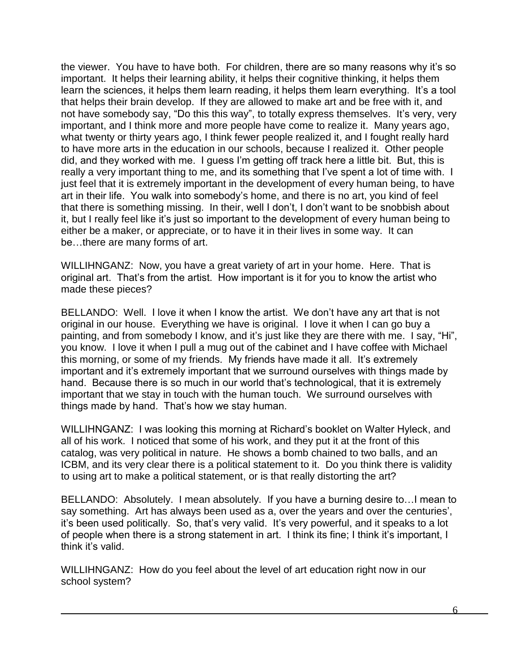the viewer. You have to have both. For children, there are so many reasons why it's so important. It helps their learning ability, it helps their cognitive thinking, it helps them learn the sciences, it helps them learn reading, it helps them learn everything. It's a tool that helps their brain develop. If they are allowed to make art and be free with it, and not have somebody say, "Do this this way", to totally express themselves. It's very, very important, and I think more and more people have come to realize it. Many years ago, what twenty or thirty years ago, I think fewer people realized it, and I fought really hard to have more arts in the education in our schools, because I realized it. Other people did, and they worked with me. I guess I'm getting off track here a little bit. But, this is really a very important thing to me, and its something that I've spent a lot of time with. I just feel that it is extremely important in the development of every human being, to have art in their life. You walk into somebody's home, and there is no art, you kind of feel that there is something missing. In their, well I don't, I don't want to be snobbish about it, but I really feel like it's just so important to the development of every human being to either be a maker, or appreciate, or to have it in their lives in some way. It can be…there are many forms of art.

WILLIHNGANZ: Now, you have a great variety of art in your home. Here. That is original art. That's from the artist. How important is it for you to know the artist who made these pieces?

BELLANDO: Well. I love it when I know the artist. We don't have any art that is not original in our house. Everything we have is original. I love it when I can go buy a painting, and from somebody I know, and it's just like they are there with me. I say, "Hi", you know. I love it when I pull a mug out of the cabinet and I have coffee with Michael this morning, or some of my friends. My friends have made it all. It's extremely important and it's extremely important that we surround ourselves with things made by hand. Because there is so much in our world that's technological, that it is extremely important that we stay in touch with the human touch. We surround ourselves with things made by hand. That's how we stay human.

WILLIHNGANZ: I was looking this morning at Richard's booklet on Walter Hyleck, and all of his work. I noticed that some of his work, and they put it at the front of this catalog, was very political in nature. He shows a bomb chained to two balls, and an ICBM, and its very clear there is a political statement to it. Do you think there is validity to using art to make a political statement, or is that really distorting the art?

BELLANDO: Absolutely. I mean absolutely. If you have a burning desire to…I mean to say something. Art has always been used as a, over the years and over the centuries', it's been used politically. So, that's very valid. It's very powerful, and it speaks to a lot of people when there is a strong statement in art. I think its fine; I think it's important, I think it's valid.

WILLIHNGANZ: How do you feel about the level of art education right now in our school system?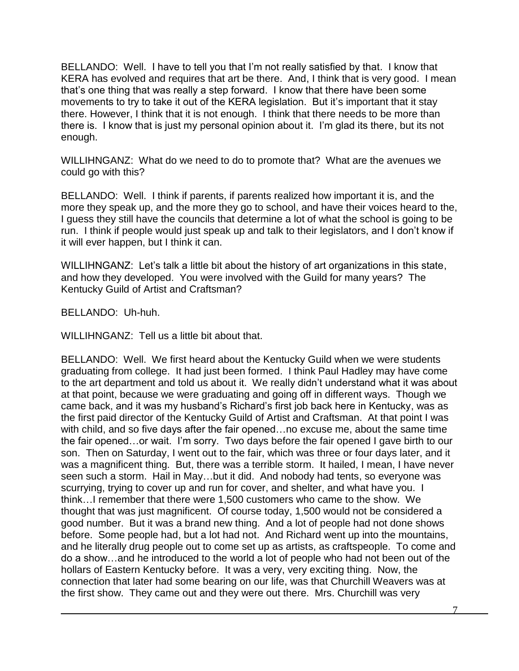BELLANDO: Well. I have to tell you that I'm not really satisfied by that. I know that KERA has evolved and requires that art be there. And, I think that is very good. I mean that's one thing that was really a step forward. I know that there have been some movements to try to take it out of the KERA legislation. But it's important that it stay there. However, I think that it is not enough. I think that there needs to be more than there is. I know that is just my personal opinion about it. I'm glad its there, but its not enough.

WILLIHNGANZ: What do we need to do to promote that? What are the avenues we could go with this?

BELLANDO: Well. I think if parents, if parents realized how important it is, and the more they speak up, and the more they go to school, and have their voices heard to the, I guess they still have the councils that determine a lot of what the school is going to be run. I think if people would just speak up and talk to their legislators, and I don't know if it will ever happen, but I think it can.

WILLIHNGANZ: Let's talk a little bit about the history of art organizations in this state, and how they developed. You were involved with the Guild for many years? The Kentucky Guild of Artist and Craftsman?

BELLANDO: Uh-huh.

WILLIHNGANZ: Tell us a little bit about that.

BELLANDO: Well. We first heard about the Kentucky Guild when we were students graduating from college. It had just been formed. I think Paul Hadley may have come to the art department and told us about it. We really didn't understand what it was about at that point, because we were graduating and going off in different ways. Though we came back, and it was my husband's Richard's first job back here in Kentucky, was as the first paid director of the Kentucky Guild of Artist and Craftsman. At that point I was with child, and so five days after the fair opened…no excuse me, about the same time the fair opened…or wait. I'm sorry. Two days before the fair opened I gave birth to our son. Then on Saturday, I went out to the fair, which was three or four days later, and it was a magnificent thing. But, there was a terrible storm. It hailed, I mean, I have never seen such a storm. Hail in May…but it did. And nobody had tents, so everyone was scurrying, trying to cover up and run for cover, and shelter, and what have you. I think…I remember that there were 1,500 customers who came to the show. We thought that was just magnificent. Of course today, 1,500 would not be considered a good number. But it was a brand new thing. And a lot of people had not done shows before. Some people had, but a lot had not. And Richard went up into the mountains, and he literally drug people out to come set up as artists, as craftspeople. To come and do a show…and he introduced to the world a lot of people who had not been out of the hollars of Eastern Kentucky before. It was a very, very exciting thing. Now, the connection that later had some bearing on our life, was that Churchill Weavers was at the first show. They came out and they were out there. Mrs. Churchill was very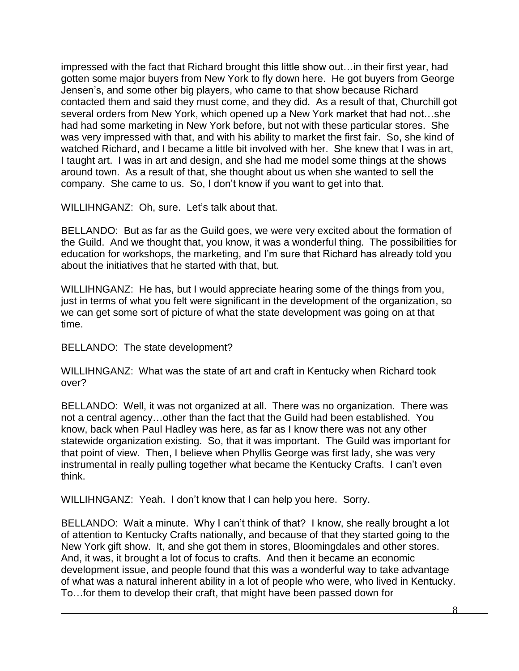impressed with the fact that Richard brought this little show out…in their first year, had gotten some major buyers from New York to fly down here. He got buyers from George Jensen's, and some other big players, who came to that show because Richard contacted them and said they must come, and they did. As a result of that, Churchill got several orders from New York, which opened up a New York market that had not…she had had some marketing in New York before, but not with these particular stores. She was very impressed with that, and with his ability to market the first fair. So, she kind of watched Richard, and I became a little bit involved with her. She knew that I was in art, I taught art. I was in art and design, and she had me model some things at the shows around town. As a result of that, she thought about us when she wanted to sell the company. She came to us. So, I don't know if you want to get into that.

WILLIHNGANZ: Oh, sure. Let's talk about that.

BELLANDO: But as far as the Guild goes, we were very excited about the formation of the Guild. And we thought that, you know, it was a wonderful thing. The possibilities for education for workshops, the marketing, and I'm sure that Richard has already told you about the initiatives that he started with that, but.

WILLIHNGANZ: He has, but I would appreciate hearing some of the things from you, just in terms of what you felt were significant in the development of the organization, so we can get some sort of picture of what the state development was going on at that time.

BELLANDO: The state development?

WILLIHNGANZ: What was the state of art and craft in Kentucky when Richard took over?

BELLANDO: Well, it was not organized at all. There was no organization. There was not a central agency…other than the fact that the Guild had been established. You know, back when Paul Hadley was here, as far as I know there was not any other statewide organization existing. So, that it was important. The Guild was important for that point of view. Then, I believe when Phyllis George was first lady, she was very instrumental in really pulling together what became the Kentucky Crafts. I can't even think.

WILLIHNGANZ: Yeah. I don't know that I can help you here. Sorry.

BELLANDO: Wait a minute. Why I can't think of that? I know, she really brought a lot of attention to Kentucky Crafts nationally, and because of that they started going to the New York gift show. It, and she got them in stores, Bloomingdales and other stores. And, it was, it brought a lot of focus to crafts. And then it became an economic development issue, and people found that this was a wonderful way to take advantage of what was a natural inherent ability in a lot of people who were, who lived in Kentucky. To…for them to develop their craft, that might have been passed down for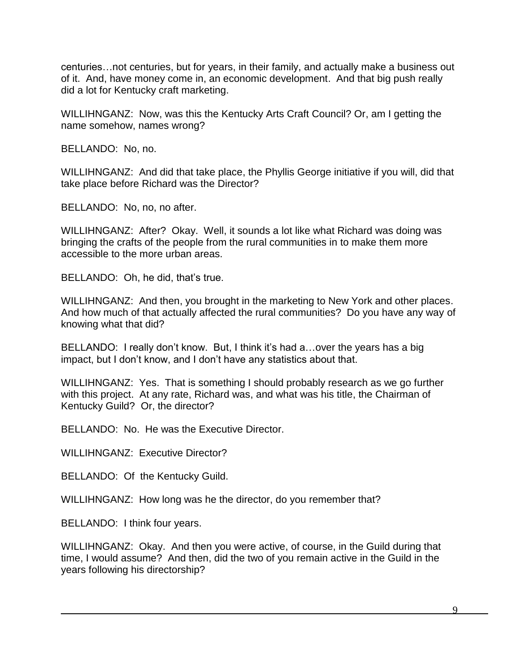centuries…not centuries, but for years, in their family, and actually make a business out of it. And, have money come in, an economic development. And that big push really did a lot for Kentucky craft marketing.

WILLIHNGANZ: Now, was this the Kentucky Arts Craft Council? Or, am I getting the name somehow, names wrong?

BELLANDO: No, no.

WILLIHNGANZ: And did that take place, the Phyllis George initiative if you will, did that take place before Richard was the Director?

BELLANDO: No, no, no after.

WILLIHNGANZ: After? Okay. Well, it sounds a lot like what Richard was doing was bringing the crafts of the people from the rural communities in to make them more accessible to the more urban areas.

BELLANDO: Oh, he did, that's true.

WILLIHNGANZ: And then, you brought in the marketing to New York and other places. And how much of that actually affected the rural communities? Do you have any way of knowing what that did?

BELLANDO: I really don't know. But, I think it's had a…over the years has a big impact, but I don't know, and I don't have any statistics about that.

WILLIHNGANZ: Yes. That is something I should probably research as we go further with this project. At any rate, Richard was, and what was his title, the Chairman of Kentucky Guild? Or, the director?

BELLANDO: No. He was the Executive Director.

WILLIHNGANZ: Executive Director?

BELLANDO: Of the Kentucky Guild.

WILLIHNGANZ: How long was he the director, do you remember that?

BELLANDO: I think four years.

WILLIHNGANZ: Okay. And then you were active, of course, in the Guild during that time, I would assume? And then, did the two of you remain active in the Guild in the years following his directorship?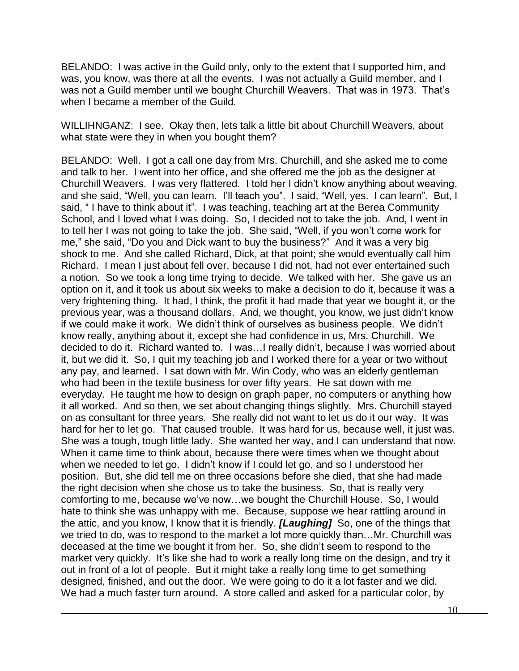BELANDO: I was active in the Guild only, only to the extent that I supported him, and was, you know, was there at all the events. I was not actually a Guild member, and I was not a Guild member until we bought Churchill Weavers. That was in 1973. That's when I became a member of the Guild.

WILLIHNGANZ: I see. Okay then, lets talk a little bit about Churchill Weavers, about what state were they in when you bought them?

BELANDO: Well. I got a call one day from Mrs. Churchill, and she asked me to come and talk to her. I went into her office, and she offered me the job as the designer at Churchill Weavers. I was very flattered. I told her I didn't know anything about weaving, and she said, "Well, you can learn. I'll teach you". I said, "Well, yes. I can learn". But, I said, " I have to think about it". I was teaching, teaching art at the Berea Community School, and I loved what I was doing. So, I decided not to take the job. And, I went in to tell her I was not going to take the job. She said, "Well, if you won't come work for me," she said, "Do you and Dick want to buy the business?" And it was a very big shock to me. And she called Richard, Dick, at that point; she would eventually call him Richard. I mean I just about fell over, because I did not, had not ever entertained such a notion. So we took a long time trying to decide. We talked with her. She gave us an option on it, and it took us about six weeks to make a decision to do it, because it was a very frightening thing. It had, I think, the profit it had made that year we bought it, or the previous year, was a thousand dollars. And, we thought, you know, we just didn't know if we could make it work. We didn't think of ourselves as business people. We didn't know really, anything about it, except she had confidence in us, Mrs. Churchill. We decided to do it. Richard wanted to. I was…I really didn't, because I was worried about it, but we did it. So, I quit my teaching job and I worked there for a year or two without any pay, and learned. I sat down with Mr. Win Cody, who was an elderly gentleman who had been in the textile business for over fifty years. He sat down with me everyday. He taught me how to design on graph paper, no computers or anything how it all worked. And so then, we set about changing things slightly. Mrs. Churchill stayed on as consultant for three years. She really did not want to let us do it our way. It was hard for her to let go. That caused trouble. It was hard for us, because well, it just was. She was a tough, tough little lady. She wanted her way, and I can understand that now. When it came time to think about, because there were times when we thought about when we needed to let go. I didn't know if I could let go, and so I understood her position. But, she did tell me on three occasions before she died, that she had made the right decision when she chose us to take the business. So, that is really very comforting to me, because we've now…we bought the Churchill House. So, I would hate to think she was unhappy with me. Because, suppose we hear rattling around in the attic, and you know, I know that it is friendly. *[Laughing]* So, one of the things that we tried to do, was to respond to the market a lot more quickly than…Mr. Churchill was deceased at the time we bought it from her. So, she didn't seem to respond to the market very quickly. It's like she had to work a really long time on the design, and try it out in front of a lot of people. But it might take a really long time to get something designed, finished, and out the door. We were going to do it a lot faster and we did. We had a much faster turn around. A store called and asked for a particular color, by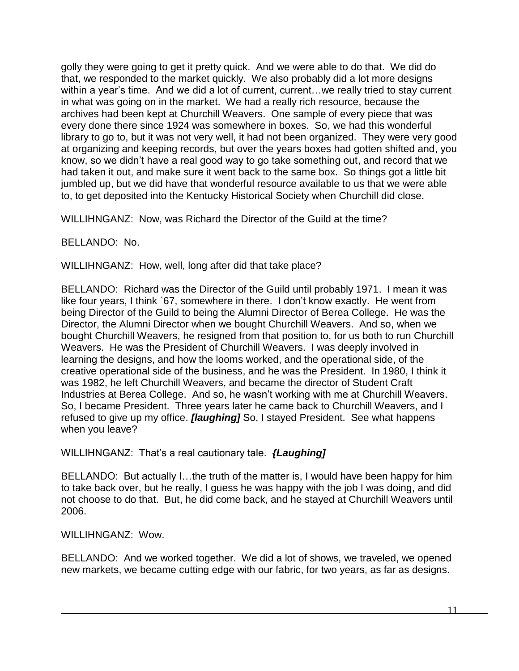golly they were going to get it pretty quick. And we were able to do that. We did do that, we responded to the market quickly. We also probably did a lot more designs within a year's time. And we did a lot of current, current...we really tried to stay current in what was going on in the market. We had a really rich resource, because the archives had been kept at Churchill Weavers. One sample of every piece that was every done there since 1924 was somewhere in boxes. So, we had this wonderful library to go to, but it was not very well, it had not been organized. They were very good at organizing and keeping records, but over the years boxes had gotten shifted and, you know, so we didn't have a real good way to go take something out, and record that we had taken it out, and make sure it went back to the same box. So things got a little bit jumbled up, but we did have that wonderful resource available to us that we were able to, to get deposited into the Kentucky Historical Society when Churchill did close.

WILLIHNGANZ: Now, was Richard the Director of the Guild at the time?

BELLANDO: No.

WILLIHNGANZ: How, well, long after did that take place?

BELLANDO: Richard was the Director of the Guild until probably 1971. I mean it was like four years, I think `67, somewhere in there. I don't know exactly. He went from being Director of the Guild to being the Alumni Director of Berea College. He was the Director, the Alumni Director when we bought Churchill Weavers. And so, when we bought Churchill Weavers, he resigned from that position to, for us both to run Churchill Weavers. He was the President of Churchill Weavers. I was deeply involved in learning the designs, and how the looms worked, and the operational side, of the creative operational side of the business, and he was the President. In 1980, I think it was 1982, he left Churchill Weavers, and became the director of Student Craft Industries at Berea College. And so, he wasn't working with me at Churchill Weavers. So, I became President. Three years later he came back to Churchill Weavers, and I refused to give up my office. *[laughing]* So, I stayed President. See what happens when you leave?

WILLIHNGANZ: That's a real cautionary tale. *{Laughing]*

BELLANDO: But actually I…the truth of the matter is, I would have been happy for him to take back over, but he really, I guess he was happy with the job I was doing, and did not choose to do that. But, he did come back, and he stayed at Churchill Weavers until 2006.

WILLIHNGANZ: Wow.

BELLANDO: And we worked together. We did a lot of shows, we traveled, we opened new markets, we became cutting edge with our fabric, for two years, as far as designs.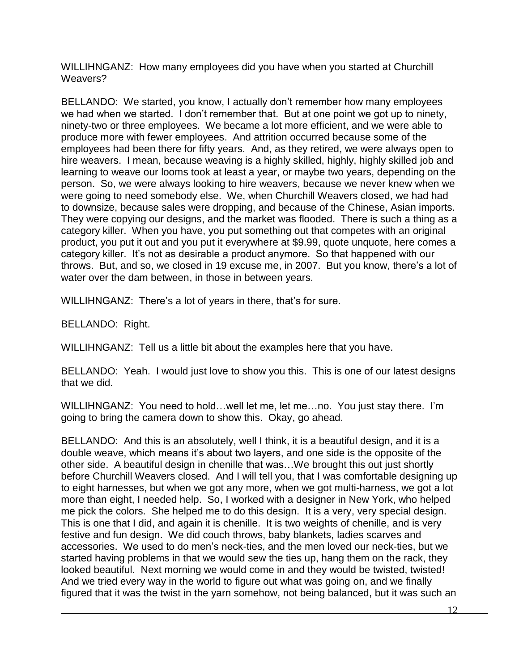WILLIHNGANZ: How many employees did you have when you started at Churchill Weavers?

BELLANDO: We started, you know, I actually don't remember how many employees we had when we started. I don't remember that. But at one point we got up to ninety, ninety-two or three employees. We became a lot more efficient, and we were able to produce more with fewer employees. And attrition occurred because some of the employees had been there for fifty years. And, as they retired, we were always open to hire weavers. I mean, because weaving is a highly skilled, highly, highly skilled job and learning to weave our looms took at least a year, or maybe two years, depending on the person. So, we were always looking to hire weavers, because we never knew when we were going to need somebody else. We, when Churchill Weavers closed, we had had to downsize, because sales were dropping, and because of the Chinese, Asian imports. They were copying our designs, and the market was flooded. There is such a thing as a category killer. When you have, you put something out that competes with an original product, you put it out and you put it everywhere at \$9.99, quote unquote, here comes a category killer. It's not as desirable a product anymore. So that happened with our throws. But, and so, we closed in 19 excuse me, in 2007. But you know, there's a lot of water over the dam between, in those in between years.

WILLIHNGANZ: There's a lot of years in there, that's for sure.

BELLANDO: Right.

WILLIHNGANZ: Tell us a little bit about the examples here that you have.

BELLANDO: Yeah. I would just love to show you this. This is one of our latest designs that we did.

WILLIHNGANZ: You need to hold…well let me, let me…no. You just stay there. I'm going to bring the camera down to show this. Okay, go ahead.

BELLANDO: And this is an absolutely, well I think, it is a beautiful design, and it is a double weave, which means it's about two layers, and one side is the opposite of the other side. A beautiful design in chenille that was…We brought this out just shortly before Churchill Weavers closed. And I will tell you, that I was comfortable designing up to eight harnesses, but when we got any more, when we got multi-harness, we got a lot more than eight, I needed help. So, I worked with a designer in New York, who helped me pick the colors. She helped me to do this design. It is a very, very special design. This is one that I did, and again it is chenille. It is two weights of chenille, and is very festive and fun design. We did couch throws, baby blankets, ladies scarves and accessories. We used to do men's neck-ties, and the men loved our neck-ties, but we started having problems in that we would sew the ties up, hang them on the rack, they looked beautiful. Next morning we would come in and they would be twisted, twisted! And we tried every way in the world to figure out what was going on, and we finally figured that it was the twist in the yarn somehow, not being balanced, but it was such an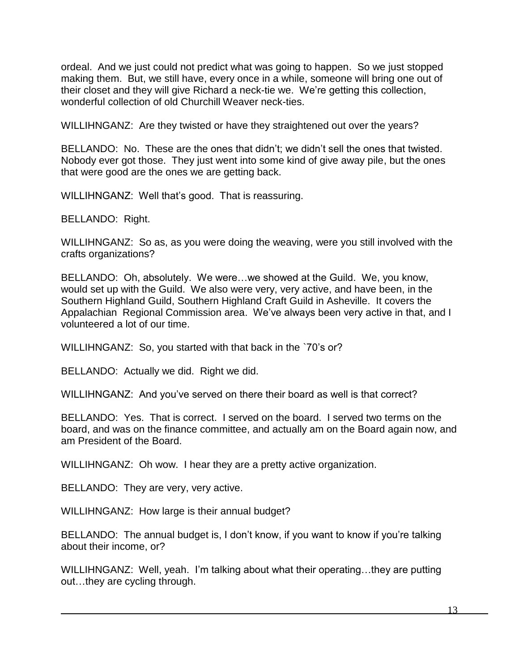ordeal. And we just could not predict what was going to happen. So we just stopped making them. But, we still have, every once in a while, someone will bring one out of their closet and they will give Richard a neck-tie we. We're getting this collection, wonderful collection of old Churchill Weaver neck-ties.

WILLIHNGANZ: Are they twisted or have they straightened out over the years?

BELLANDO: No. These are the ones that didn't; we didn't sell the ones that twisted. Nobody ever got those. They just went into some kind of give away pile, but the ones that were good are the ones we are getting back.

WILLIHNGANZ: Well that's good. That is reassuring.

BELLANDO: Right.

WILLIHNGANZ: So as, as you were doing the weaving, were you still involved with the crafts organizations?

BELLANDO: Oh, absolutely. We were…we showed at the Guild. We, you know, would set up with the Guild. We also were very, very active, and have been, in the Southern Highland Guild, Southern Highland Craft Guild in Asheville. It covers the Appalachian Regional Commission area. We've always been very active in that, and I volunteered a lot of our time.

WILLIHNGANZ: So, you started with that back in the `70's or?

BELLANDO: Actually we did. Right we did.

WILLIHNGANZ: And you've served on there their board as well is that correct?

BELLANDO: Yes. That is correct. I served on the board. I served two terms on the board, and was on the finance committee, and actually am on the Board again now, and am President of the Board.

WILLIHNGANZ: Oh wow. I hear they are a pretty active organization.

BELLANDO: They are very, very active.

WILLIHNGANZ: How large is their annual budget?

BELLANDO: The annual budget is, I don't know, if you want to know if you're talking about their income, or?

WILLIHNGANZ: Well, yeah. I'm talking about what their operating…they are putting out…they are cycling through.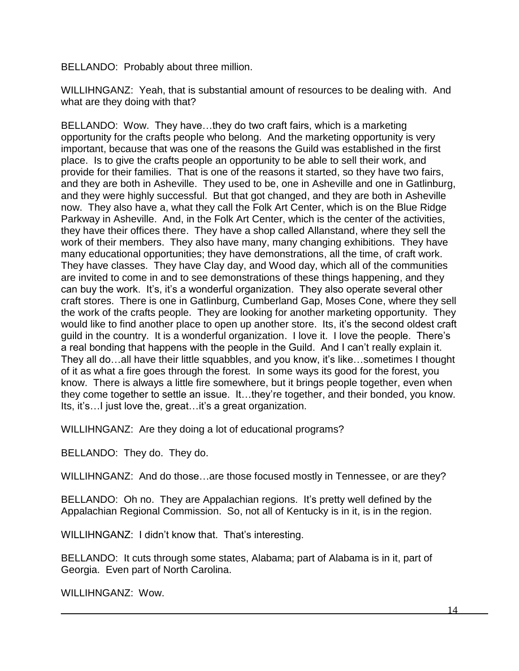BELLANDO: Probably about three million.

WILLIHNGANZ: Yeah, that is substantial amount of resources to be dealing with. And what are they doing with that?

BELLANDO: Wow. They have…they do two craft fairs, which is a marketing opportunity for the crafts people who belong. And the marketing opportunity is very important, because that was one of the reasons the Guild was established in the first place. Is to give the crafts people an opportunity to be able to sell their work, and provide for their families. That is one of the reasons it started, so they have two fairs, and they are both in Asheville. They used to be, one in Asheville and one in Gatlinburg, and they were highly successful. But that got changed, and they are both in Asheville now. They also have a, what they call the Folk Art Center, which is on the Blue Ridge Parkway in Asheville. And, in the Folk Art Center, which is the center of the activities, they have their offices there. They have a shop called Allanstand, where they sell the work of their members. They also have many, many changing exhibitions. They have many educational opportunities; they have demonstrations, all the time, of craft work. They have classes. They have Clay day, and Wood day, which all of the communities are invited to come in and to see demonstrations of these things happening, and they can buy the work. It's, it's a wonderful organization. They also operate several other craft stores. There is one in Gatlinburg, Cumberland Gap, Moses Cone, where they sell the work of the crafts people. They are looking for another marketing opportunity. They would like to find another place to open up another store. Its, it's the second oldest craft guild in the country. It is a wonderful organization. I love it. I love the people. There's a real bonding that happens with the people in the Guild. And I can't really explain it. They all do…all have their little squabbles, and you know, it's like…sometimes I thought of it as what a fire goes through the forest. In some ways its good for the forest, you know. There is always a little fire somewhere, but it brings people together, even when they come together to settle an issue. It…they're together, and their bonded, you know. Its, it's... I just love the, great... it's a great organization.

WILLIHNGANZ: Are they doing a lot of educational programs?

BELLANDO: They do. They do.

WILLIHNGANZ: And do those...are those focused mostly in Tennessee, or are they?

BELLANDO: Oh no. They are Appalachian regions. It's pretty well defined by the Appalachian Regional Commission. So, not all of Kentucky is in it, is in the region.

WILLIHNGANZ: I didn't know that. That's interesting.

BELLANDO: It cuts through some states, Alabama; part of Alabama is in it, part of Georgia. Even part of North Carolina.

WILLIHNGANZ: Wow.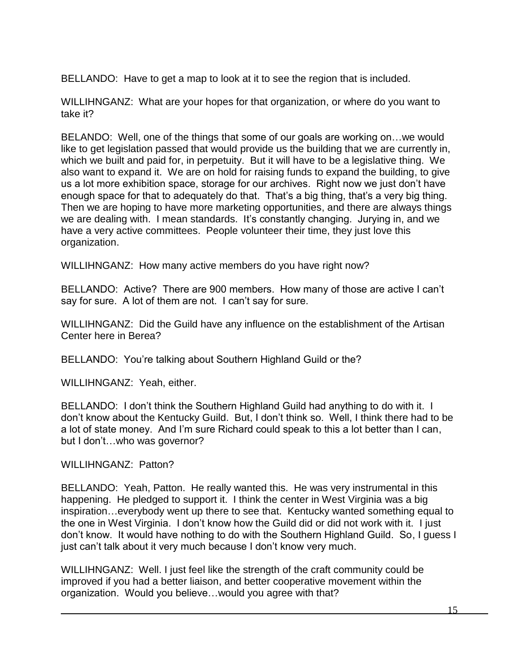BELLANDO: Have to get a map to look at it to see the region that is included.

WILLIHNGANZ: What are your hopes for that organization, or where do you want to take it?

BELANDO: Well, one of the things that some of our goals are working on…we would like to get legislation passed that would provide us the building that we are currently in, which we built and paid for, in perpetuity. But it will have to be a legislative thing. We also want to expand it. We are on hold for raising funds to expand the building, to give us a lot more exhibition space, storage for our archives. Right now we just don't have enough space for that to adequately do that. That's a big thing, that's a very big thing. Then we are hoping to have more marketing opportunities, and there are always things we are dealing with. I mean standards. It's constantly changing. Jurying in, and we have a very active committees. People volunteer their time, they just love this organization.

WILLIHNGANZ: How many active members do you have right now?

BELLANDO: Active? There are 900 members. How many of those are active I can't say for sure. A lot of them are not. I can't say for sure.

WILLIHNGANZ: Did the Guild have any influence on the establishment of the Artisan Center here in Berea?

BELLANDO: You're talking about Southern Highland Guild or the?

WILLIHNGANZ: Yeah, either.

BELLANDO: I don't think the Southern Highland Guild had anything to do with it. I don't know about the Kentucky Guild. But, I don't think so. Well, I think there had to be a lot of state money. And I'm sure Richard could speak to this a lot better than I can, but I don't…who was governor?

WILLIHNGANZ: Patton?

BELLANDO: Yeah, Patton. He really wanted this. He was very instrumental in this happening. He pledged to support it. I think the center in West Virginia was a big inspiration…everybody went up there to see that. Kentucky wanted something equal to the one in West Virginia. I don't know how the Guild did or did not work with it. I just don't know. It would have nothing to do with the Southern Highland Guild. So, I guess I just can't talk about it very much because I don't know very much.

WILLIHNGANZ: Well. I just feel like the strength of the craft community could be improved if you had a better liaison, and better cooperative movement within the organization. Would you believe…would you agree with that?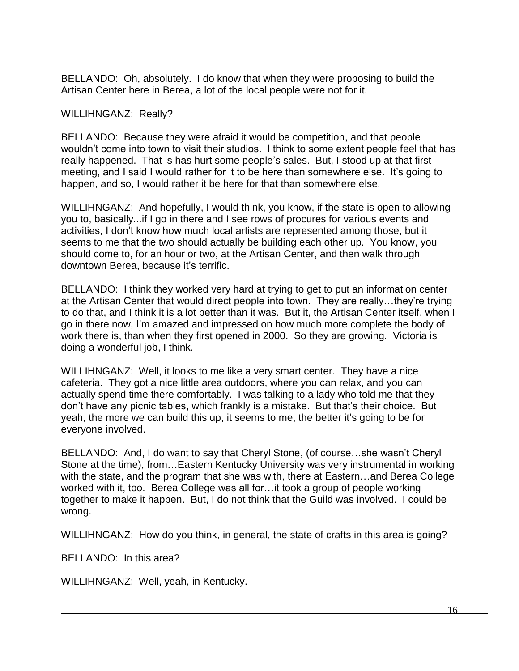BELLANDO: Oh, absolutely. I do know that when they were proposing to build the Artisan Center here in Berea, a lot of the local people were not for it.

## WILLIHNGANZ: Really?

BELLANDO: Because they were afraid it would be competition, and that people wouldn't come into town to visit their studios. I think to some extent people feel that has really happened. That is has hurt some people's sales. But, I stood up at that first meeting, and I said I would rather for it to be here than somewhere else. It's going to happen, and so, I would rather it be here for that than somewhere else.

WILLIHNGANZ: And hopefully, I would think, you know, if the state is open to allowing you to, basically...if I go in there and I see rows of procures for various events and activities, I don't know how much local artists are represented among those, but it seems to me that the two should actually be building each other up. You know, you should come to, for an hour or two, at the Artisan Center, and then walk through downtown Berea, because it's terrific.

BELLANDO: I think they worked very hard at trying to get to put an information center at the Artisan Center that would direct people into town. They are really…they're trying to do that, and I think it is a lot better than it was. But it, the Artisan Center itself, when I go in there now, I'm amazed and impressed on how much more complete the body of work there is, than when they first opened in 2000. So they are growing. Victoria is doing a wonderful job, I think.

WILLIHNGANZ: Well, it looks to me like a very smart center. They have a nice cafeteria. They got a nice little area outdoors, where you can relax, and you can actually spend time there comfortably. I was talking to a lady who told me that they don't have any picnic tables, which frankly is a mistake. But that's their choice. But yeah, the more we can build this up, it seems to me, the better it's going to be for everyone involved.

BELLANDO: And, I do want to say that Cheryl Stone, (of course…she wasn't Cheryl Stone at the time), from…Eastern Kentucky University was very instrumental in working with the state, and the program that she was with, there at Eastern…and Berea College worked with it, too. Berea College was all for…it took a group of people working together to make it happen. But, I do not think that the Guild was involved. I could be wrong.

WILLIHNGANZ: How do you think, in general, the state of crafts in this area is going?

BELLANDO: In this area?

WILLIHNGANZ: Well, yeah, in Kentucky.